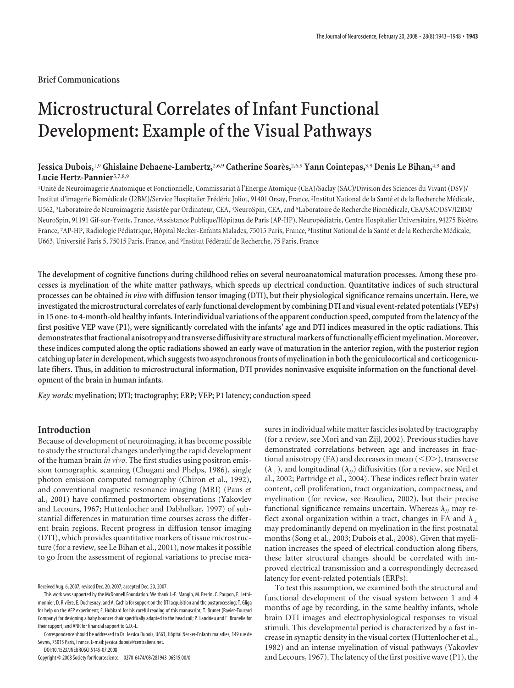# **Microstructural Correlates of Infant Functional Development: Example of the Visual Pathways**

# **Jessica Dubois,**1,9 **Ghislaine Dehaene-Lambertz,**2,6,9 **Catherine Soare`s,**2,6,9 **Yann Cointepas,**3,9 **Denis Le Bihan,**4,9 **and Lucie Hertz-Pannier**5,7,8,9

<sup>1</sup>Unité de Neuroimagerie Anatomique et Fonctionnelle, Commissariat à l'Energie Atomique (CEA)/Saclay (SAC)/Division des Sciences du Vivant (DSV)/ Institut d'imagerie Biomédicale (I2BM)/Service Hospitalier Frédéric Joliot, 91401 Orsay, France, <sup>2</sup>Institut National de la Santé et de la Recherche Médicale, U562, <sup>3</sup>Laboratoire de Neuroimagerie Assistée par Ordinateur, CEA, <sup>4</sup>NeuroSpin, CEA, and <sup>5</sup>Laboratoire de Recherche Biomédicale, CEA/SAC/DSV/I2BM/ NeuroSpin, 91191 Gif-sur-Yvette, France, <sup>6</sup>Assistance Publique/Hôpitaux de Paris (AP-HP), Neuropédiatrie, Centre Hospitalier Universitaire, 94275 Bicêtre, France, <sup>7</sup>AP-HP, Radiologie Pédiatrique, Hôpital Necker-Enfants Malades, 75015 Paris, France, <sup>s</sup>Institut National de la Santé et de la Recherche Médicale, U663, Université Paris 5, 75015 Paris, France, and <sup>9</sup>Institut Fédératif de Recherche, 75 Paris, France

**The development of cognitive functions during childhood relies on several neuroanatomical maturation processes. Among these processes is myelination of the white matter pathways, which speeds up electrical conduction. Quantitative indices of such structural processes can be obtained** *in vivo* **with diffusion tensor imaging (DTI), but their physiological significance remains uncertain. Here, we investigatedthe microstructural correlates of earlyfunctional development by combining DTI and visual event-related potentials (VEPs) in 15 one- to 4-month-old healthy infants. Interindividual variations of the apparent conduction speed, computed from the latency of the first positive VEP wave (P1), were significantly correlated with the infants' age and DTI indices measured in the optic radiations. This demonstratesthatfractional anisotropy andtransverse diffusivity are structuralmarkers offunctionally efficientmyelination.Moreover, these indices computed along the optic radiations showed an early wave of maturation in the anterior region, with the posterior region** catching up later in development, which suggests two asynchronous fronts of myelination in both the geniculocortical and corticogenicu**late fibers. Thus, in addition to microstructural information, DTI provides noninvasive exquisite information on the functional development of the brain in human infants.**

*Key words:* **myelination; DTI; tractography; ERP; VEP; P1 latency; conduction speed**

# **Introduction**

Because of development of neuroimaging, it has become possible to study the structural changes underlying the rapid development of the human brain *in vivo*. The first studies using positron emission tomographic scanning (Chugani and Phelps, 1986), single photon emission computed tomography (Chiron et al., 1992), and conventional magnetic resonance imaging (MRI) (Paus et al., 2001) have confirmed postmortem observations (Yakovlev and Lecours, 1967; Huttenlocher and Dabholkar, 1997) of substantial differences in maturation time courses across the different brain regions. Recent progress in diffusion tensor imaging (DTI), which provides quantitative markers of tissue microstructure (for a review, see Le Bihan et al., 2001), now makes it possible to go from the assessment of regional variations to precise mea-

DOI:10.1523/JNEUROSCI.5145-07.2008

Copyright © 2008 Society for Neuroscience 0270-6474/08/281943-06\$15.00/0

sures in individual white matter fascicles isolated by tractography (for a review, see Mori and van Zijl, 2002). Previous studies have demonstrated correlations between age and increases in fractional anisotropy (FA) and decreases in mean (*<D>*), transverse  $(\lambda_+)$ , and longitudinal  $(\lambda_{ij})$  diffusivities (for a review, see Neil et al., 2002; Partridge et al., 2004). These indices reflect brain water content, cell proliferation, tract organization, compactness, and myelination (for review, see Beaulieu, 2002), but their precise functional significance remains uncertain. Whereas  $\lambda_{\ell}$  may reflect axonal organization within a tract, changes in FA and  $\lambda_{\perp}$ may predominantly depend on myelination in the first postnatal months (Song et al., 2003; Dubois et al., 2008). Given that myelination increases the speed of electrical conduction along fibers, these latter structural changes should be correlated with improved electrical transmission and a correspondingly decreased latency for event-related potentials (ERPs).

To test this assumption, we examined both the structural and functional development of the visual system between 1 and 4 months of age by recording, in the same healthy infants, whole brain DTI images and electrophysiological responses to visual stimuli. This developmental period is characterized by a fast increase in synaptic density in the visual cortex (Huttenlocher et al., 1982) and an intense myelination of visual pathways (Yakovlev and Lecours, 1967). The latency of the first positive wave (P1), the

Received Aug. 6, 2007; revised Dec. 20, 2007; accepted Dec. 20, 2007.

This work was supported by the McDonnell Foundation. We thank J.-F. Mangin, M. Perrin, C. Poupon, F. Lethimonnier, D. Rivière, E. Duchesnay, and A. Cachia for support on the DTI acquisition and the postprocessing; T. Gliga for help on the VEP experiment; E. Hubbard for his careful reading of this manuscript; T. Brunet (Ravier-Touzard Company) for designing a baby bouncer chair specifically adapted to the head coil; P. Landrieu and F. Brunelle for their support; and ANR for financial support to G.D.-L.

Correspondence should be addressed to Dr. Jessica Dubois, U663, Hôpital Necker-Enfants maladies, 149 rue de Sèvres, 75015 Paris, France. E-mail: jessica.dubois@centraliens.net.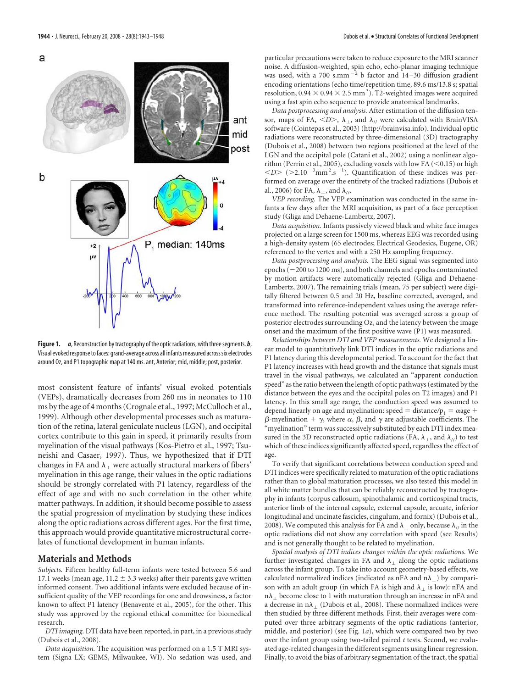a



Figure 1. *a*, Reconstruction by tractography of the optic radiations, with three segments. *b*, Visual evoked response to faces: grand-average across all infants measured across six electrodes around Oz, and P1 topographic map at 140 ms. ant, Anterior; mid, middle; post, posterior.

most consistent feature of infants' visual evoked potentials (VEPs), dramatically decreases from 260 ms in neonates to 110 ms by the age of 4 months (Crognale et al., 1997; McCulloch et al., 1999). Although other developmental processes such as maturation of the retina, lateral geniculate nucleus (LGN), and occipital cortex contribute to this gain in speed, it primarily results from myelination of the visual pathways (Kos-Pietro et al., 1997; Tsuneishi and Casaer, 1997). Thus, we hypothesized that if DTI changes in FA and  $\lambda_{\perp}$  were actually structural markers of fibers' myelination in this age range, their values in the optic radiations should be strongly correlated with P1 latency, regardless of the effect of age and with no such correlation in the other white matter pathways. In addition, it should become possible to assess the spatial progression of myelination by studying these indices along the optic radiations across different ages. For the first time, this approach would provide quantitative microstructural correlates of functional development in human infants.

#### **Materials and Methods**

*Subjects.* Fifteen healthy full-term infants were tested between 5.6 and 17.1 weeks (mean age,  $11.2 \pm 3.3$  weeks) after their parents gave written informed consent. Two additional infants were excluded because of insufficient quality of the VEP recordings for one and drowsiness, a factor known to affect P1 latency (Benavente et al., 2005), for the other. This study was approved by the regional ethical committee for biomedical research.

*DTI imaging.* DTI data have been reported, in part, in a previous study (Dubois et al., 2008).

*Data acquisition.* The acquisition was performed on a 1.5 T MRI system (Signa LX; GEMS, Milwaukee, WI). No sedation was used, and particular precautions were taken to reduce exposure to the MRI scanner noise. A diffusion-weighted, spin echo, echo-planar imaging technique was used, with a 700 s.mm<sup> $-2$ </sup> b factor and 14-30 diffusion gradient encoding orientations (echo time/repetition time, 89.6 ms/13.8 s; spatial resolution, 0.94  $\times$  0.94  $\times$  2.5 mm<sup>3</sup>). T2-weighted images were acquired using a fast spin echo sequence to provide anatomical landmarks.

*Data postprocessing and analysis.* After estimation of the diffusion tensor, maps of FA,  $\langle D \rangle$ ,  $\lambda_{\perp}$ , and  $\lambda_{\text{1/}}$  were calculated with BrainVISA software (Cointepas et al., 2003) (http://brainvisa.info). Individual optic radiations were reconstructed by three-dimensional (3D) tractography (Dubois et al., 2008) between two regions positioned at the level of the LGN and the occipital pole (Catani et al., 2002) using a nonlinear algorithm (Perrin et al., 2005), excluding voxels with low FA  $(<$  0.15) or high  $\langle D \rangle$  (>2.10<sup>-3</sup>mm<sup>2</sup>.s<sup>-1</sup>). Quantification of these indices was performed on average over the entirety of the tracked radiations (Dubois et al., 2006) for FA,  $\lambda_1$ , and  $\lambda_2$ .

*VEP recording.* The VEP examination was conducted in the same infants a few days after the MRI acquisition, as part of a face perception study (Gliga and Dehaene-Lambertz, 2007).

*Data acquisition.* Infants passively viewed black and white face images projected on a large screen for 1500 ms, whereas EEG was recorded using a high-density system (65 electrodes; Electrical Geodesics, Eugene, OR) referenced to the vertex and with a 250 Hz sampling frequency.

*Data postprocessing and analysis.* The EEG signal was segmented into epochs  $(-200$  to  $1200$  ms), and both channels and epochs contaminated by motion artifacts were automatically rejected (Gliga and Dehaene-Lambertz, 2007). The remaining trials (mean, 75 per subject) were digitally filtered between 0.5 and 20 Hz, baseline corrected, averaged, and transformed into reference-independent values using the average reference method. The resulting potential was averaged across a group of posterior electrodes surrounding Oz, and the latency between the image onset and the maximum of the first positive wave (P1) was measured.

*Relationships between DTI and VEP measurements.* We designed a linear model to quantitatively link DTI indices in the optic radiations and P1 latency during this developmental period. To account for the fact that P1 latency increases with head growth and the distance that signals must travel in the visual pathways, we calculated an "apparent conduction speed" as the ratio between the length of optic pathways (estimated by the distance between the eyes and the occipital poles on T2 images) and P1 latency. In this small age range, the conduction speed was assumed to depend linearly on age and myelination: speed  $=$  distance/ $p_1 = \alpha$ age  $+$  $\beta$ -myelination +  $\gamma$ , where  $\alpha$ ,  $\beta$ , and  $\gamma$  are adjustable coefficients. The "myelination" term was successively substituted by each DTI index measured in the 3D reconstructed optic radiations (FA,  $\lambda_{\perp}$ , and  $\lambda_{\parallel}$ ) to test which of these indices significantly affected speed, regardless the effect of age.

To verify that significant correlations between conduction speed and DTI indices were specifically related to maturation of the optic radiations rather than to global maturation processes, we also tested this model in all white matter bundles that can be reliably reconstructed by tractography in infants (corpus callosum, spinothalamic and corticospinal tracts, anterior limb of the internal capsule, external capsule, arcuate, inferior longitudinal and uncinate fascicles, cingulum, and fornix) (Dubois et al., 2008). We computed this analysis for FA and  $\lambda_1$  only, because  $\lambda_{11}$  in the optic radiations did not show any correlation with speed (see Results) and is not generally thought to be related to myelination.

*Spatial analysis of DTI indices changes within the optic radiations.* We further investigated changes in FA and  $\lambda_{\perp}$  along the optic radiations across the infant group. To take into account geometry-based effects, we calculated normalized indices (indicated as nFA and  $n\lambda_+$ ) by comparison with an adult group (in which FA is high and  $\lambda_{\perp}$  is low): nFA and  $n\lambda_1$  become close to 1 with maturation through an increase in nFA and a decrease in  $n\lambda$  (Dubois et al., 2008). These normalized indices were then studied by three different methods. First, their averages were computed over three arbitrary segments of the optic radiations (anterior, middle, and posterior) (see Fig. 1*a*), which were compared two by two over the infant group using two-tailed paired *t* tests. Second, we evaluated age-related changes in the different segments using linear regression. Finally, to avoid the bias of arbitrary segmentation of the tract, the spatial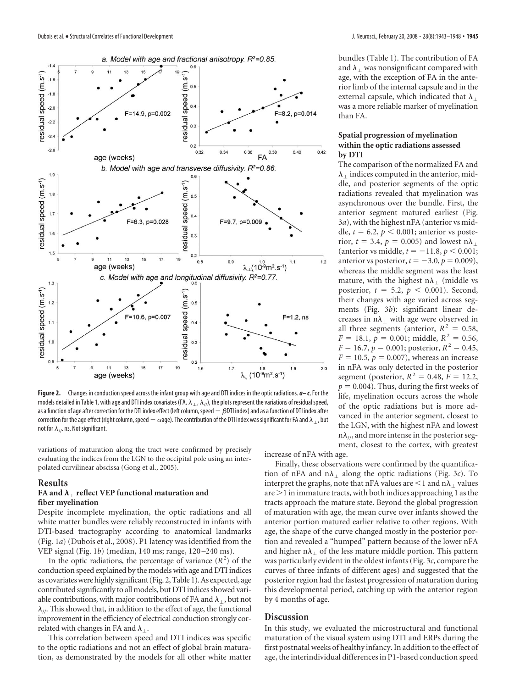

**Figure 2.** Changes in conduction speed across the infant group with age and DTI indices in the optic radiations. *a– c*, For the models detailed in Table 1, with age and DTI index covariates (FA,  $\lambda_1$ ,  $\lambda_1$ ), the plots represent the variations of residual speed, as a function of age after correction for the DTI index effect (left column, speed  $-\beta$ DTI index) and as a function of DTI index after correction for the age effect (right column, speed  $-\alpha$ age). The contribution of the DTI index was significant for FA and  $\lambda_\perp$ , but not for  $\lambda_{1/2}$  ns, Not significant.

variations of maturation along the tract were confirmed by precisely evaluating the indices from the LGN to the occipital pole using an interpolated curvilinear abscissa (Gong et al., 2005).

## **Results**

## **FA and**  $\lambda_1$  **reflect VEP functional maturation and fiber myelination**

Despite incomplete myelination, the optic radiations and all white matter bundles were reliably reconstructed in infants with DTI-based tractography according to anatomical landmarks (Fig. 1*a*) (Dubois et al., 2008). P1 latency was identified from the VEP signal (Fig. 1*b*) (median, 140 ms; range, 120 –240 ms).

In the optic radiations, the percentage of variance  $(R<sup>2</sup>)$  of the conduction speed explained by the models with age and DTI indices as covariates were highly significant (Fig. 2, Table 1). As expected, age contributed significantly to all models, but DTI indices showed variable contributions, with major contributions of FA and  $\lambda_{\perp}$ , but not  $\lambda_{\mu}$ . This showed that, in addition to the effect of age, the functional improvement in the efficiency of electrical conduction strongly correlated with changes in FA and  $\lambda_{\perp}$ .

This correlation between speed and DTI indices was specific to the optic radiations and not an effect of global brain maturation, as demonstrated by the models for all other white matter

bundles (Table 1). The contribution of FA and  $\lambda_1$  was nonsignificant compared with age, with the exception of FA in the anterior limb of the internal capsule and in the external capsule, which indicated that  $\lambda_{\perp}$ was a more reliable marker of myelination than FA.

## **Spatial progression of myelination within the optic radiations assessed by DTI**

The comparison of the normalized FA and  $\lambda_1$  indices computed in the anterior, middle, and posterior segments of the optic radiations revealed that myelination was asynchronous over the bundle. First, the anterior segment matured earliest (Fig. 3*a*), with the highest nFA (anterior vs middle,  $t = 6.2$ ,  $p < 0.001$ ; anterior vs posterior,  $t = 3.4$ ,  $p = 0.005$ ) and lowest n $\lambda_1$ (anterior vs middle,  $t = -11.8, p < 0.001$ ; anterior vs posterior,  $t = -3.0, p = 0.009$ ), whereas the middle segment was the least mature, with the highest  $n\lambda_{\perp}$  (middle vs posterior,  $t = 5.2$ ,  $p < 0.001$ ). Second, their changes with age varied across segments (Fig. 3*b*): significant linear decreases in  $n\lambda_1$  with age were observed in all three segments (anterior,  $R^2 = 0.58$ ,  $F = 18.1, p = 0.001$ ; middle,  $R^2 = 0.56$ ,  $F = 16.7$ ,  $p = 0.001$ ; posterior,  $R^2 = 0.45$ ,  $F = 10.5, p = 0.007$ , whereas an increase in nFA was only detected in the posterior segment (posterior,  $R^2 = 0.48$ ,  $F = 12.2$ ,  $p = 0.004$ ). Thus, during the first weeks of life, myelination occurs across the whole of the optic radiations but is more advanced in the anterior segment, closest to the LGN, with the highest nFA and lowest  $n\lambda_{\mu}$ , and more intense in the posterior segment, closest to the cortex, with greatest

increase of nFA with age.

Finally, these observations were confirmed by the quantification of nFA and  $n\lambda_1$  along the optic radiations (Fig. 3*c*). To interpret the graphs, note that nFA values are  $\leq 1$  and n $\lambda_1$  values are  $\geq$  1 in immature tracts, with both indices approaching 1 as the tracts approach the mature state. Beyond the global progression of maturation with age, the mean curve over infants showed the anterior portion matured earlier relative to other regions. With age, the shape of the curve changed mostly in the posterior portion and revealed a "humped" pattern because of the lower nFA and higher n $\lambda_{\perp}$  of the less mature middle portion. This pattern was particularly evident in the oldest infants (Fig. 3*c*, compare the curves of three infants of different ages) and suggested that the posterior region had the fastest progression of maturation during this developmental period, catching up with the anterior region by 4 months of age.

## **Discussion**

In this study, we evaluated the microstructural and functional maturation of the visual system using DTI and ERPs during the first postnatal weeks of healthy infancy. In addition to the effect of age, the interindividual differences in P1-based conduction speed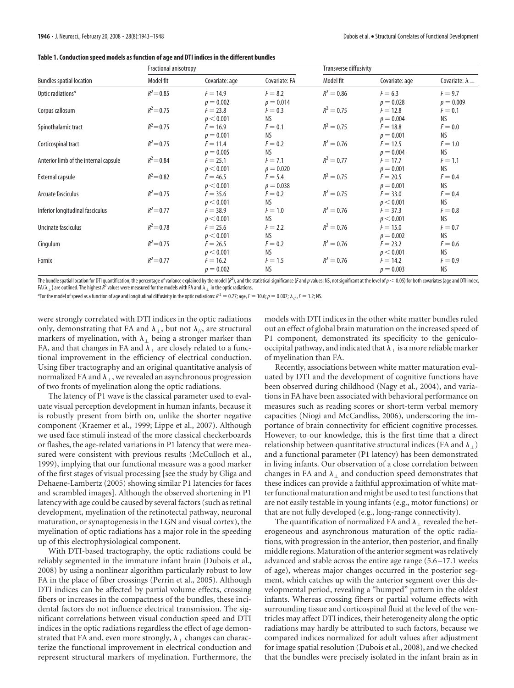|  | Table 1. Conduction speed models as function of age and DTI indices in the different bundles |  |  |
|--|----------------------------------------------------------------------------------------------|--|--|
|  |                                                                                              |  |  |

|                                       | Fractional anisotropy |                |               | <b>Transverse diffusivity</b> |                |                            |
|---------------------------------------|-----------------------|----------------|---------------|-------------------------------|----------------|----------------------------|
| <b>Bundles spatial location</b>       | Model fit             | Covariate: age | Covariate: FA | Model fit                     | Covariate: age | Covariate: $\lambda \perp$ |
| Optic radiations <sup>a</sup>         | $R^2 = 0.85$          | $F = 14.9$     | $F = 8.2$     | $R^2 = 0.86$                  | $F = 6.3$      | $F = 9.7$                  |
|                                       |                       | $p = 0.002$    | $p = 0.014$   |                               | $p = 0.028$    | $p = 0.009$                |
| Corpus callosum                       | $R^2 = 0.75$          | $F = 23.8$     | $F = 0.3$     | $R^2 = 0.75$                  | $F = 12.8$     | $F = 0.1$                  |
|                                       |                       | p < 0.001      | ΝS            |                               | $p = 0.004$    | NS.                        |
| Spinothalamic tract                   | $R^2 = 0.75$          | $F = 16.9$     | $F = 0.1$     | $R^2 = 0.75$                  | $F = 18.8$     | $F=0.0$                    |
|                                       |                       | $p = 0.001$    | ΝS            |                               | $p = 0.001$    | NS.                        |
| Corticospinal tract                   | $R^2 = 0.75$          | $F = 11.4$     | $F = 0.2$     | $R^2 = 0.76$                  | $F = 12.5$     | $F = 1.0$                  |
|                                       |                       | $p = 0.005$    | NS.           |                               | $p = 0.004$    | <b>NS</b>                  |
| Anterior limb of the internal capsule | $R^2 = 0.84$          | $F = 25.1$     | $F = 7.1$     | $R^2 = 0.77$                  | $F = 17.7$     | $F = 1.1$                  |
|                                       |                       | p < 0.001      | $p = 0.020$   |                               | $p = 0.001$    | NS.                        |
| External capsule                      | $R^2 = 0.82$          | $F = 46.5$     | $F = 5.4$     | $R^2 = 0.75$                  | $F = 20.5$     | $F = 0.4$                  |
|                                       |                       | p < 0.001      | $p = 0.038$   |                               | $p = 0.001$    | NS.                        |
| Arcuate fasciculus                    | $R^2 = 0.75$          | $F = 35.6$     | $F = 0.2$     | $R^2 = 0.75$                  | $F = 33.0$     | $F = 0.4$                  |
|                                       |                       | p < 0.001      | NS.           |                               | p < 0.001      | NS.                        |
| Inferior longitudinal fasciculus      | $R^2 = 0.77$          | $F = 38.9$     | $F = 1.0$     | $R^2 = 0.76$                  | $F = 37.3$     | $F = 0.8$                  |
|                                       |                       | p < 0.001      | ΝS            |                               | p < 0.001      | NS.                        |
| Uncinate fasciculus                   | $R^2 = 0.78$          | $F = 25.6$     | $F = 2.2$     | $R^2 = 0.76$                  | $F = 15.0$     | $F = 0.7$                  |
|                                       |                       | p < 0.001      | NS.           |                               | $p = 0.002$    | <b>NS</b>                  |
| Cingulum                              | $R^2 = 0.75$          | $F = 26.5$     | $F = 0.2$     | $R^2 = 0.76$                  | $F = 23.2$     | $F = 0.6$                  |
|                                       |                       | p < 0.001      | ΝS            |                               | p < 0.001      | NS.                        |
| Fornix                                | $R^2 = 0.77$          | $F = 16.2$     | $F = 1.5$     | $R^2 = 0.76$                  | $F = 14.2$     | $F = 0.9$                  |
|                                       |                       | $p = 0.002$    | NS.           |                               | $p = 0.003$    | NS.                        |

The bundle spatial location for DTI quantification, the percentage of variance explained by the model ( $R^2$ ), and the statistical significance (F and p values; NS, not significant at the level of  $p < 0.05$ ) for both cova FA/ $\lambda_\perp$ ) are outlined. The highest  $R^2$  values were measured for the models with FA and  $\lambda_\perp$  in the optic radiations.

<sup>a</sup> For the model of speed as a function of age and longitudinal diffusivity in the optic radiations: *R* <sup>2</sup>  $= 0.77$ ; age, *F*  $= 10.6; p = 0.007; \lambda_{//}, F = 1.2; \text{NS}.$ 

were strongly correlated with DTI indices in the optic radiations only, demonstrating that FA and  $\lambda_{\perp}$ , but not  $\lambda_{\parallel}$ , are structural markers of myelination, with  $\lambda_{\perp}$  being a stronger marker than FA, and that changes in FA and  $\lambda_1$  are closely related to a functional improvement in the efficiency of electrical conduction. Using fiber tractography and an original quantitative analysis of normalized FA and  $\lambda_{\perp}$ , we revealed an asynchronous progression of two fronts of myelination along the optic radiations.

The latency of P1 wave is the classical parameter used to evaluate visual perception development in human infants, because it is robustly present from birth on, unlike the shorter negative component (Kraemer et al., 1999; Lippe et al., 2007). Although we used face stimuli instead of the more classical checkerboards or flashes, the age-related variations in P1 latency that were measured were consistent with previous results (McCulloch et al., 1999), implying that our functional measure was a good marker of the first stages of visual processing [see the study by Gliga and Dehaene-Lambertz (2005) showing similar P1 latencies for faces and scrambled images]. Although the observed shortening in P1 latency with age could be caused by several factors (such as retinal development, myelination of the retinotectal pathway, neuronal maturation, or synaptogenesis in the LGN and visual cortex), the myelination of optic radiations has a major role in the speeding up of this electrophysiological component.

With DTI-based tractography, the optic radiations could be reliably segmented in the immature infant brain (Dubois et al., 2008) by using a nonlinear algorithm particularly robust to low FA in the place of fiber crossings (Perrin et al., 2005). Although DTI indices can be affected by partial volume effects, crossing fibers or increases in the compactness of the bundles, these incidental factors do not influence electrical transmission. The significant correlations between visual conduction speed and DTI indices in the optic radiations regardless the effect of age demonstrated that FA and, even more strongly,  $\lambda_{\perp}$  changes can characterize the functional improvement in electrical conduction and represent structural markers of myelination. Furthermore, the

models with DTI indices in the other white matter bundles ruled out an effect of global brain maturation on the increased speed of P1 component, demonstrated its specificity to the geniculooccipital pathway, and indicated that  $\lambda_{\perp}$  is a more reliable marker of myelination than FA.

Recently, associations between white matter maturation evaluated by DTI and the development of cognitive functions have been observed during childhood (Nagy et al., 2004), and variations in FA have been associated with behavioral performance on measures such as reading scores or short-term verbal memory capacities (Niogi and McCandliss, 2006), underscoring the importance of brain connectivity for efficient cognitive processes. However, to our knowledge, this is the first time that a direct relationship between quantitative structural indices (FA and  $\lambda_{\perp}$ ) and a functional parameter (P1 latency) has been demonstrated in living infants. Our observation of a close correlation between changes in FA and  $\lambda_1$  and conduction speed demonstrates that these indices can provide a faithful approximation of white matter functional maturation and might be used to test functions that are not easily testable in young infants (e.g., motor functions) or that are not fully developed (e.g., long-range connectivity).

The quantification of normalized FA and  $\lambda_1$  revealed the heterogeneous and asynchronous maturation of the optic radiations, with progression in the anterior, then posterior, and finally middle regions. Maturation of the anterior segment was relatively advanced and stable across the entire age range (5.6 –17.1 weeks of age), whereas major changes occurred in the posterior segment, which catches up with the anterior segment over this developmental period, revealing a "humped" pattern in the oldest infants. Whereas crossing fibers or partial volume effects with surrounding tissue and corticospinal fluid at the level of the ventricles may affect DTI indices, their heterogeneity along the optic radiations may hardly be attributed to such factors, because we compared indices normalized for adult values after adjustment for image spatial resolution (Dubois et al., 2008), and we checked that the bundles were precisely isolated in the infant brain as in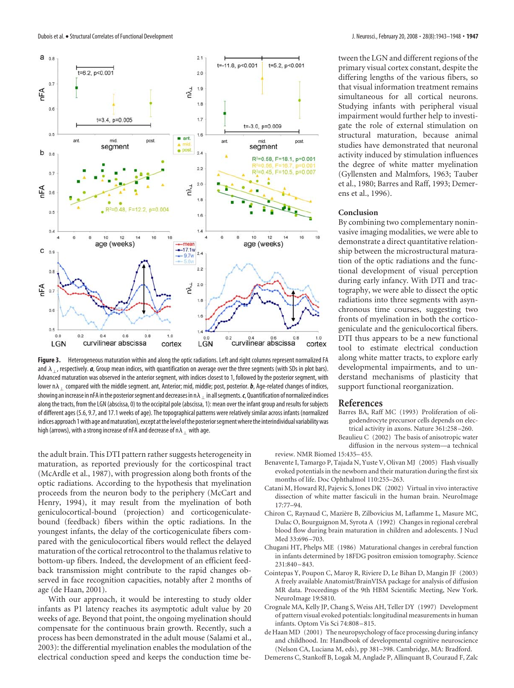

**Figure 3.** Heterogeneous maturation within and along the optic radiations. Left and right columns represent normalized FA and  $\lambda_{\perp}$ , respectively. *a*, Group mean indices, with quantification on average over the three segments (with SDs in plot bars). Advanced maturation was observed in the anterior segment, with indices closest to 1, followed by the posterior segment, with lower  $n \lambda_1$  compared with the middle segment. ant, Anterior; mid, middle; post, posterior.  $b$ , Age-related changes of indices, showing an increase in nFA in the posterior segment and decreases in n $\lambda_\perp$  in all segments. c, Quantification of normalized indices along the tracts, from the LGN (abscissa, 0) to the occipital pole (abscissa, 1): mean over the infant group and results for subjects of different ages (5.6, 9.7, and 17.1 weeks of age). The topographical patterns were relatively similar across infants (normalized indices approach 1with age andmaturation), except atthe level ofthe posteriorsegmentwherethe interindividual variabilitywas high (arrows), with a strong increase of nFA and decrease of n $\lambda_+$  with age.

the adult brain. This DTI pattern rather suggests heterogeneity in maturation, as reported previously for the corticospinal tract (McArdle et al., 1987), with progression along both fronts of the optic radiations. According to the hypothesis that myelination proceeds from the neuron body to the periphery (McCart and Henry, 1994), it may result from the myelination of both geniculocortical-bound (projection) and corticogeniculatebound (feedback) fibers within the optic radiations. In the youngest infants, the delay of the corticogeniculate fibers compared with the geniculocortical fibers would reflect the delayed maturation of the cortical retrocontrol to the thalamus relative to bottom-up fibers. Indeed, the development of an efficient feedback transmission might contribute to the rapid changes observed in face recognition capacities, notably after 2 months of age (de Haan, 2001).

With our approach, it would be interesting to study older infants as P1 latency reaches its asymptotic adult value by 20 weeks of age. Beyond that point, the ongoing myelination should compensate for the continuous brain growth. Recently, such a process has been demonstrated in the adult mouse (Salami et al., 2003): the differential myelination enables the modulation of the electrical conduction speed and keeps the conduction time between the LGN and different regions of the primary visual cortex constant, despite the differing lengths of the various fibers, so that visual information treatment remains simultaneous for all cortical neurons. Studying infants with peripheral visual impairment would further help to investigate the role of external stimulation on structural maturation, because animal studies have demonstrated that neuronal activity induced by stimulation influences the degree of white matter myelination (Gyllensten and Malmfors, 1963; Tauber et al., 1980; Barres and Raff, 1993; Demerens et al., 1996).

#### **Conclusion**

By combining two complementary noninvasive imaging modalities, we were able to demonstrate a direct quantitative relationship between the microstructural maturation of the optic radiations and the functional development of visual perception during early infancy. With DTI and tractography, we were able to dissect the optic radiations into three segments with asynchronous time courses, suggesting two fronts of myelination in both the corticogeniculate and the geniculocortical fibers. DTI thus appears to be a new functional tool to estimate electrical conduction along white matter tracts, to explore early developmental impairments, and to understand mechanisms of plasticity that support functional reorganization.

#### **References**

- Barres BA, Raff MC (1993) Proliferation of oligodendrocyte precursor cells depends on electrical activity in axons. Nature 361:258 –260.
- Beaulieu C (2002) The basis of anisotropic water diffusion in the nervous system—a technical

review. NMR Biomed 15:435–455.

- Benavente I, Tamargo P, Tajada N, Yuste V, Olivan MJ (2005) Flash visually evoked potentials in the newborn and their maturation during the first six months of life. Doc Ophthalmol 110:255–263.
- Catani M, Howard RJ, Pajevic S, Jones DK (2002) Virtual in vivo interactive dissection of white matter fasciculi in the human brain. NeuroImage 17:77–94.
- Chiron C, Raynaud C, Mazière B, Zilbovicius M, Laflamme L, Masure MC, Dulac O, Bourguignon M, Syrota A (1992) Changes in regional cerebral blood flow during brain maturation in children and adolescents. J Nucl Med 33:696-703.
- Chugani HT, Phelps ME (1986) Maturational changes in cerebral function in infants determined by 18FDG positron emission tomography. Science 231:840 –843.
- Cointepas Y, Poupon C, Maroy R, Riviere D, Le Bihan D, Mangin JF (2003) A freely available Anatomist/BrainVISA package for analysis of diffusion MR data. Proceedings of the 9th HBM Scientific Meeting, New York. NeuroImage 19:S810.
- Crognale MA, Kelly JP, Chang S, Weiss AH, Teller DY (1997) Development of pattern visual evoked potentials: longitudinal measurements in human infants. Optom Vis Sci 74:808 –815.
- de Haan MD (2001) The neuropsychology of face processing during infancy and childhood. In: Handbook of developmental cognitive neuroscience (Nelson CA, Luciana M, eds), pp 381–398. Cambridge, MA: Bradford.
- Demerens C, Stankoff B, Logak M, Anglade P, Allinquant B, Couraud F, Zalc